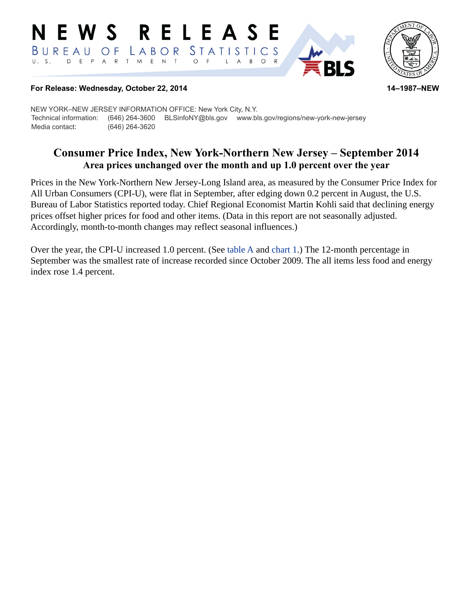#### **RELEASE** NEWS STATISTICS BUREAU O F LABOR D E P A R T M E N T  $\circ$  $U. S.$  $\overline{F}$  $\mathsf{L}$  $\mathsf{A}$  $B$  $\circ$  $\mathsf{R}$



#### **For Release: Wednesday, October 22, 2014 14–1987–NEW**

NEW YORK–NEW JERSEY INFORMATION OFFICE: New York City, N.Y. Technical information: (646) 264-3600 BLSinfoNY@bls.gov www.bls.gov/regions/new-york-new-jersey Media contact: (646) 264-3620

# **Consumer Price Index, New York-Northern New Jersey – September 2014 Area prices unchanged over the month and up 1.0 percent over the year**

Prices in the New York-Northern New Jersey-Long Island area, as measured by the Consumer Price Index for All Urban Consumers (CPI-U), were flat in September, after edging down 0.2 percent in August, the U.S. Bureau of Labor Statistics reported today. Chief Regional Economist Martin Kohli said that declining energy prices offset higher prices for food and other items. (Data in this report are not seasonally adjusted. Accordingly, month-to-month changes may reflect seasonal influences.)

Over the year, the CPI-U increased 1.0 percent. (See [table A](#page-2-0) and [chart 1.](#page-1-0)) The 12-month percentage in September was the smallest rate of increase recorded since October 2009. The all items less food and energy index rose 1.4 percent.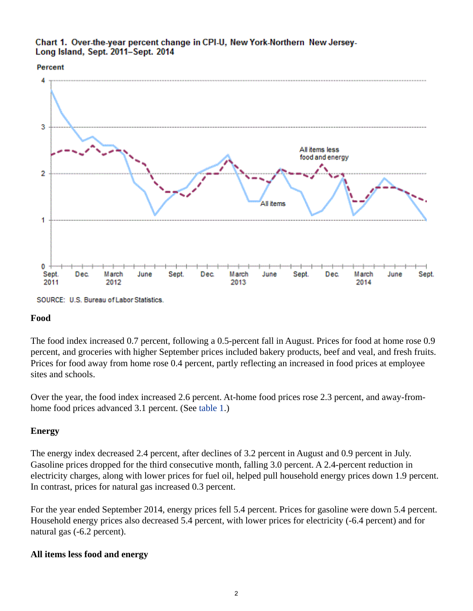#### <span id="page-1-0"></span>Chart 1. Over-the-year percent change in CPI-U, New York-Northern New Jersey-Long Island, Sept. 2011-Sept. 2014

#### Percent



#### **Food**

The food index increased 0.7 percent, following a 0.5-percent fall in August. Prices for food at home rose 0.9 percent, and groceries with higher September prices included bakery products, beef and veal, and fresh fruits. Prices for food away from home rose 0.4 percent, partly reflecting an increased in food prices at employee sites and schools.

Over the year, the food index increased 2.6 percent. At-home food prices rose 2.3 percent, and away-fromhome food prices advanced 3.1 percent. (See [table 1](#page-3-0).)

## **Energy**

The energy index decreased 2.4 percent, after declines of 3.2 percent in August and 0.9 percent in July. Gasoline prices dropped for the third consecutive month, falling 3.0 percent. A 2.4-percent reduction in electricity charges, along with lower prices for fuel oil, helped pull household energy prices down 1.9 percent. In contrast, prices for natural gas increased 0.3 percent.

For the year ended September 2014, energy prices fell 5.4 percent. Prices for gasoline were down 5.4 percent. Household energy prices also decreased 5.4 percent, with lower prices for electricity (-6.4 percent) and for natural gas (-6.2 percent).

## **All items less food and energy**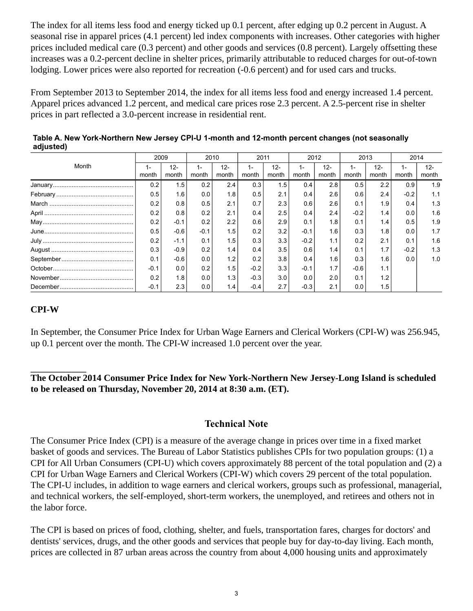The index for all items less food and energy ticked up 0.1 percent, after edging up 0.2 percent in August. A seasonal rise in apparel prices (4.1 percent) led index components with increases. Other categories with higher prices included medical care (0.3 percent) and other goods and services (0.8 percent). Largely offsetting these increases was a 0.2-percent decline in shelter prices, primarily attributable to reduced charges for out-of-town lodging. Lower prices were also reported for recreation (-0.6 percent) and for used cars and trucks.

From September 2013 to September 2014, the index for all items less food and energy increased 1.4 percent. Apparel prices advanced 1.2 percent, and medical care prices rose 2.3 percent. A 2.5-percent rise in shelter prices in part reflected a 3.0-percent increase in residential rent.

| Month | 2009        |                 | 2010   |                 | 2011   |                 | 2012           |                 | 2013          |                 | 2014   |                 |
|-------|-------------|-----------------|--------|-----------------|--------|-----------------|----------------|-----------------|---------------|-----------------|--------|-----------------|
|       | 1-<br>month | $12 -$<br>month | month  | $12 -$<br>month | month  | $12 -$<br>month | $1 -$<br>month | $12 -$<br>month | $1-$<br>month | $12 -$<br>month | month  | $12 -$<br>month |
|       | 0.2         | 1.5             | 0.2    | 2.4             | 0.3    | 1.5             | 0.4            | 2.8             | 0.5           | 2.2             | 0.9    | 1.9             |
|       | 0.5         | 1.6             | 0.0    | 1.8             | 0.5    | 2.1             | 0.4            | 2.6             | 0.6           | 2.4             | $-0.2$ | 1.1             |
|       | 0.2         | 0.8             | 0.5    | 2.1             | 0.7    | 2.3             | 0.6            | 2.6             | 0.1           | 1.9             | 0.4    | 1.3             |
|       | 0.2         | 0.8             | 0.2    | 2.1             | 0.4    | 2.5             | 0.4            | 2.4             | $-0.2$        | 1.4             | 0.0    | 1.6             |
|       | 0.2         | $-0.1$          | 0.2    | 2.2             | 0.6    | 2.9             | 0.1            | 1.8             | 0.1           | 1.4             | 0.5    | 1.9             |
|       | 0.5         | $-0.6$          | $-0.1$ | 1.5             | 0.2    | 3.2             | $-0.1$         | 1.6             | 0.3           | 1.8             | 0.0    | 1.7             |
|       | 0.2         | $-1.1$          | 0.1    | 1.5             | 0.3    | 3.3             | $-0.2$         | 1.1             | 0.2           | 2.1             | 0.1    | 1.6             |
|       | 0.3         | $-0.9$          | 0.2    | 1.4             | 0.4    | 3.5             | 0.6            | 1.4             | 0.1           | 1.7             | $-0.2$ | 1.3             |
|       | 0.1         | $-0.6$          | 0.0    | 1.2             | 0.2    | 3.8             | 0.4            | 1.6             | 0.3           | 1.6             | 0.0    | 1.0             |
|       | $-0.1$      | 0.0             | 0.2    | 1.5             | $-0.2$ | 3.3             | $-0.1$         | 1.7             | $-0.6$        | 1.1             |        |                 |
|       | 0.2         | 1.8             | 0.0    | 1.3             | $-0.3$ | 3.0             | 0.0            | 2.0             | 0.1           | 1.2             |        |                 |
|       | $-0.1$      | 2.3             | 0.0    | 1.4             | $-0.4$ | 2.7             | $-0.3$         | 2.1             | 0.0           | 1.5             |        |                 |

<span id="page-2-0"></span>**Table A. New York-Northern New Jersey CPI-U 1-month and 12-month percent changes (not seasonally adjusted)** 

## **CPI-W**

In September, the Consumer Price Index for Urban Wage Earners and Clerical Workers (CPI-W) was 256.945, up 0.1 percent over the month. The CPI-W increased 1.0 percent over the year.

## **The October 2014 Consumer Price Index for New York-Northern New Jersey-Long Island is scheduled to be released on Thursday, November 20, 2014 at 8:30 a.m. (ET).**

## **Technical Note**

The Consumer Price Index (CPI) is a measure of the average change in prices over time in a fixed market basket of goods and services. The Bureau of Labor Statistics publishes CPIs for two population groups: (1) a CPI for All Urban Consumers (CPI-U) which covers approximately 88 percent of the total population and (2) a CPI for Urban Wage Earners and Clerical Workers (CPI-W) which covers 29 percent of the total population. The CPI-U includes, in addition to wage earners and clerical workers, groups such as professional, managerial, and technical workers, the self-employed, short-term workers, the unemployed, and retirees and others not in the labor force.

The CPI is based on prices of food, clothing, shelter, and fuels, transportation fares, charges for doctors' and dentists' services, drugs, and the other goods and services that people buy for day-to-day living. Each month, prices are collected in 87 urban areas across the country from about 4,000 housing units and approximately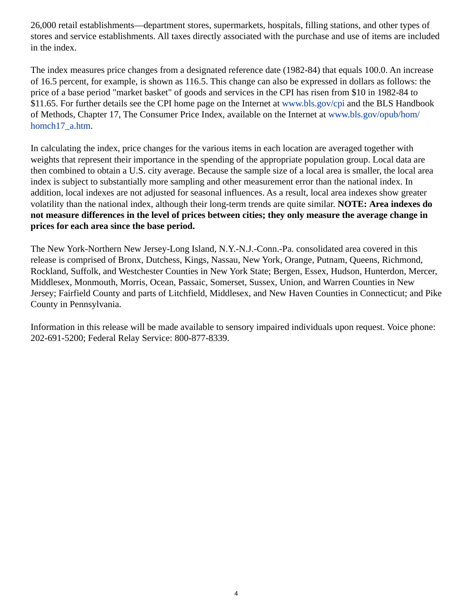26,000 retail establishments—department stores, supermarkets, hospitals, filling stations, and other types of stores and service establishments. All taxes directly associated with the purchase and use of items are included in the index.

The index measures price changes from a designated reference date (1982-84) that equals 100.0. An increase of 16.5 percent, for example, is shown as 116.5. This change can also be expressed in dollars as follows: the price of a base period "market basket" of goods and services in the CPI has risen from \$10 in 1982-84 to \$11.65. For further details see the CPI home page on the Internet at [www.bls.gov/cpi](https://www.bls.gov/cpi) and the BLS Handbook of Methods, Chapter 17, The Consumer Price Index, available on the Internet at [www.bls.gov/opub/hom/](https://www.bls.gov/opub/hom/homch17_a.htm) [homch17\\_a.htm](https://www.bls.gov/opub/hom/homch17_a.htm).

In calculating the index, price changes for the various items in each location are averaged together with weights that represent their importance in the spending of the appropriate population group. Local data are then combined to obtain a U.S. city average. Because the sample size of a local area is smaller, the local area index is subject to substantially more sampling and other measurement error than the national index. In addition, local indexes are not adjusted for seasonal influences. As a result, local area indexes show greater volatility than the national index, although their long-term trends are quite similar. **NOTE: Area indexes do not measure differences in the level of prices between cities; they only measure the average change in prices for each area since the base period.**

The New York-Northern New Jersey-Long Island, N.Y.-N.J.-Conn.-Pa. consolidated area covered in this release is comprised of Bronx, Dutchess, Kings, Nassau, New York, Orange, Putnam, Queens, Richmond, Rockland, Suffolk, and Westchester Counties in New York State; Bergen, Essex, Hudson, Hunterdon, Mercer, Middlesex, Monmouth, Morris, Ocean, Passaic, Somerset, Sussex, Union, and Warren Counties in New Jersey; Fairfield County and parts of Litchfield, Middlesex, and New Haven Counties in Connecticut; and Pike County in Pennsylvania.

<span id="page-3-0"></span>Information in this release will be made available to sensory impaired individuals upon request. Voice phone: 202-691-5200; Federal Relay Service: 800-877-8339.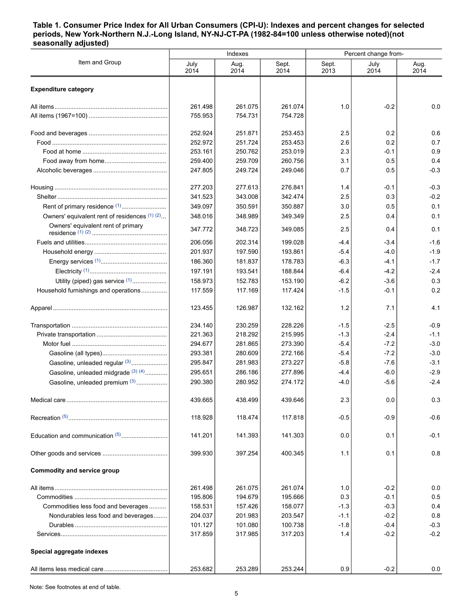#### **Table 1. Consumer Price Index for All Urban Consumers (CPI-U): Indexes and percent changes for selected periods, New York-Northern N.J.-Long Island, NY-NJ-CT-PA (1982-84=100 unless otherwise noted)(not seasonally adjusted)**

|                                               |              | Indexes      |               | Percent change from- |              |              |  |
|-----------------------------------------------|--------------|--------------|---------------|----------------------|--------------|--------------|--|
| Item and Group                                | July<br>2014 | Aug.<br>2014 | Sept.<br>2014 | Sept.<br>2013        | July<br>2014 | Aug.<br>2014 |  |
| <b>Expenditure category</b>                   |              |              |               |                      |              |              |  |
|                                               | 261.498      | 261.075      | 261.074       | 1.0                  | $-0.2$       | 0.0          |  |
|                                               | 755.953      | 754.731      | 754.728       |                      |              |              |  |
|                                               | 252.924      | 251.871      | 253.453       | 2.5                  | 0.2          | 0.6          |  |
|                                               | 252.972      | 251.724      | 253.453       | 2.6                  | 0.2          | 0.7          |  |
|                                               | 253.161      | 250.762      | 253.019       | 2.3                  | -0.1         | 0.9          |  |
|                                               | 259.400      | 259.709      | 260.756       | 3.1                  | 0.5          | 0.4          |  |
|                                               | 247.805      | 249.724      | 249.046       | 0.7                  | 0.5          | $-0.3$       |  |
|                                               | 277.203      | 277.613      | 276.841       | 1.4                  | -0.1         | $-0.3$       |  |
|                                               | 341.523      | 343.008      | 342.474       | 2.5                  | 0.3          | $-0.2$       |  |
| Rent of primary residence <sup>(1)</sup>      | 349.097      | 350.591      | 350.887       | 3.0                  | 0.5          | 0.1          |  |
| Owners' equivalent rent of residences (1) (2) | 348.016      | 348.989      | 349.349       | 2.5                  | 0.4          | 0.1          |  |
| Owners' equivalent rent of primary            | 347.772      | 348.723      | 349.085       | 2.5                  | 0.4          | 0.1          |  |
|                                               | 206.056      | 202.314      | 199.028       | $-4.4$               | $-3.4$       | $-1.6$       |  |
|                                               | 201.937      | 197.590      | 193.861       | $-5.4$               | $-4.0$       | $-1.9$       |  |
|                                               | 186.360      | 181.837      | 178.783       | $-6.3$               | -4.1         | $-1.7$       |  |
|                                               | 197.191      | 193.541      | 188.844       | $-6.4$               | $-4.2$       | $-2.4$       |  |
| Utility (piped) gas service (1)               | 158.973      | 152.783      | 153.190       | $-6.2$               | $-3.6$       | 0.3          |  |
| Household furnishings and operations          | 117.559      | 117.169      | 117.424       | $-1.5$               | $-0.1$       | 0.2          |  |
|                                               | 123.455      | 126.987      | 132.162       | 1.2                  | 7.1          | 4.1          |  |
|                                               | 234.140      | 230.259      | 228.226       | $-1.5$               | $-2.5$       | $-0.9$       |  |
|                                               | 221.363      | 218.292      | 215.995       | $-1.3$               | $-2.4$       | $-1.1$       |  |
|                                               | 294.677      | 281.865      | 273.390       | $-5.4$               | $-7.2$       | $-3.0$       |  |
|                                               | 293.381      | 280.609      | 272.166       | $-5.4$               | $-7.2$       | $-3.0$       |  |
| Gasoline, unleaded regular (3)                | 295.847      | 281.983      | 273.227       | $-5.8$               | $-7.6$       | $-3.1$       |  |
| Gasoline, unleaded midgrade (3) (4)           | 295.651      | 286.186      | 277.896       | $-4.4$               | $-6.0$       | $-2.9$       |  |
| Gasoline, unleaded premium (3)                | 290.380      | 280.952      | 274.172       | $-4.0$               | $-5.6$       | $-2.4$       |  |
|                                               | 439.665      | 438.499      | 439.646       | 2.3                  | 0.0          | 0.3          |  |
|                                               | 118.928      | 118.474      | 117.818       | $-0.5$               | $-0.9$       | $-0.6$       |  |
|                                               | 141.201      | 141.393      | 141.303       | 0.0                  | 0.1          | $-0.1$       |  |
|                                               | 399.930      | 397.254      | 400.345       | 1.1                  | 0.1          | 0.8          |  |
| <b>Commodity and service group</b>            |              |              |               |                      |              |              |  |
|                                               | 261.498      | 261.075      | 261.074       | 1.0                  | $-0.2$       | 0.0          |  |
|                                               | 195.806      | 194.679      | 195.666       | 0.3                  | $-0.1$       | 0.5          |  |
| Commodities less food and beverages           | 158.531      | 157.426      | 158.077       | $-1.3$               | $-0.3$       | 0.4          |  |
| Nondurables less food and beverages           | 204.037      | 201.983      | 203.547       | $-1.1$               | $-0.2$       | 0.8          |  |
|                                               | 101.127      | 101.080      | 100.738       | $-1.8$               | $-0.4$       | $-0.3$       |  |
|                                               | 317.859      | 317.985      | 317.203       | 1.4                  | $-0.2$       | $-0.2$       |  |
| Special aggregate indexes                     |              |              |               |                      |              |              |  |
|                                               | 253.682      | 253.289      | 253.244       | 0.9                  | $-0.2$       | 0.0          |  |
|                                               |              |              |               |                      |              |              |  |

Note: See footnotes at end of table.